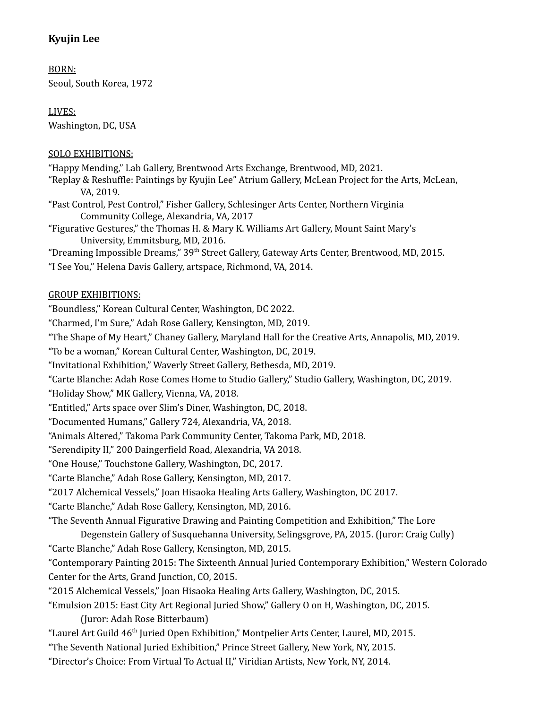# **Kyujin Lee**

BORN: Seoul, South Korea, 1972

LIVES: Washington, DC, USA

#### SOLO EXHIBITIONS:

"Happy Mending," Lab Gallery, Brentwood Arts Exchange, Brentwood, MD, 2021.

- "Replay & Reshuffle: Paintings by Kyujin Lee" Atrium Gallery, McLean Project for the Arts, McLean, VA, 2019.
- "Past Control, Pest Control," Fisher Gallery, Schlesinger Arts Center, Northern Virginia Community College, Alexandria, VA, 2017
- "Figurative Gestures," the Thomas H. & Mary K. Williams Art Gallery, Mount Saint Mary's University, Emmitsburg, MD, 2016.

"Dreaming Impossible Dreams," 39<sup>th</sup> Street Gallery, Gateway Arts Center, Brentwood, MD, 2015.

"I See You," Helena Davis Gallery, artspace, Richmond, VA, 2014.

#### GROUP EXHIBITIONS:

"Boundless," Korean Cultural Center, Washington, DC 2022.

"Charmed, I'm Sure," Adah Rose Gallery, Kensington, MD, 2019.

"The Shape of My Heart," Chaney Gallery, Maryland Hall for the Creative Arts, Annapolis, MD, 2019.

"To be a woman," Korean Cultural Center, Washington, DC, 2019.

"Invitational Exhibition," Waverly Street Gallery, Bethesda, MD, 2019.

"Carte Blanche: Adah Rose Comes Home to Studio Gallery," Studio Gallery, Washington, DC, 2019.

"Holiday Show," MK Gallery, Vienna, VA, 2018.

"Entitled," Arts space over Slim's Diner, Washington, DC, 2018.

"Documented Humans," Gallery 724, Alexandria, VA, 2018.

"Animals Altered," Takoma Park Community Center, Takoma Park, MD, 2018.

"Serendipity II," 200 Daingerfield Road, Alexandria, VA 2018.

"One House," Touchstone Gallery, Washington, DC, 2017.

"Carte Blanche," Adah Rose Gallery, Kensington, MD, 2017.

"2017 Alchemical Vessels," Joan Hisaoka Healing Arts Gallery, Washington, DC 2017.

"Carte Blanche," Adah Rose Gallery, Kensington, MD, 2016.

"The Seventh Annual Figurative Drawing and Painting Competition and Exhibition," The Lore

Degenstein Gallery of Susquehanna University, Selingsgrove, PA, 2015. (Juror: Craig Cully)

"Carte Blanche," Adah Rose Gallery, Kensington, MD, 2015.

"Contemporary Painting 2015: The Sixteenth Annual Juried Contemporary Exhibition," Western Colorado Center for the Arts, Grand Junction, CO, 2015.

"2015 Alchemical Vessels," Joan Hisaoka Healing Arts Gallery, Washington, DC, 2015.

"Emulsion 2015: East City Art Regional Juried Show," Gallery O on H, Washington, DC, 2015. (Juror: Adah Rose Bitterbaum)

"Laurel Art Guild 46<sup>th</sup> Juried Open Exhibition," Montpelier Arts Center, Laurel, MD, 2015.

"The Seventh National Juried Exhibition," Prince Street Gallery, New York, NY, 2015.

"Director's Choice: From Virtual To Actual II," Viridian Artists, New York, NY, 2014.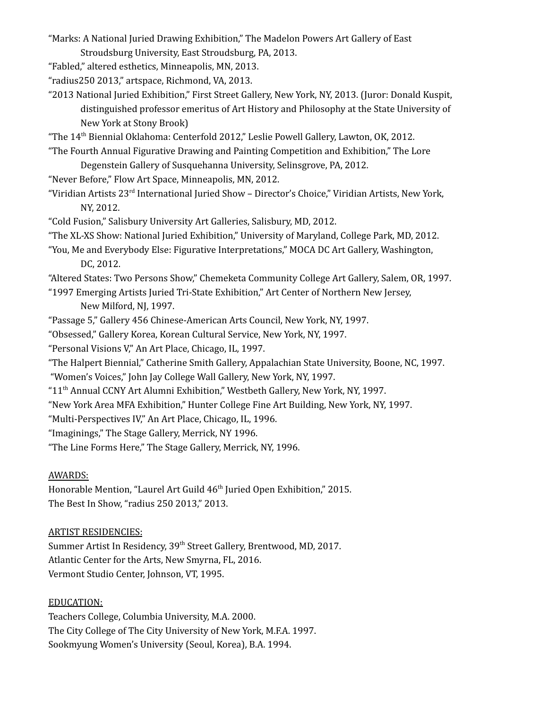"Marks: A National Juried Drawing Exhibition," The Madelon Powers Art Gallery of East

- Stroudsburg University, East Stroudsburg, PA, 2013. "Fabled," altered esthetics, Minneapolis, MN, 2013.
- "radius250 2013," artspace, Richmond, VA, 2013.
- "2013 National Juried Exhibition," First Street Gallery, New York, NY, 2013. (Juror: Donald Kuspit, distinguished professor emeritus of Art History and Philosophy at the State University of New York at Stony Brook)
- "The 14 th Biennial Oklahoma: Centerfold 2012," Leslie Powell Gallery, Lawton, OK, 2012.
- "The Fourth Annual Figurative Drawing and Painting Competition and Exhibition," The Lore Degenstein Gallery of Susquehanna University, Selinsgrove, PA, 2012.
- "Never Before," Flow Art Space, Minneapolis, MN, 2012.
- "Viridian Artists 23<sup>rd</sup> International Juried Show Director's Choice," Viridian Artists, New York, NY, 2012.
- "Cold Fusion," Salisbury University Art Galleries, Salisbury, MD, 2012.
- "The XL-XS Show: National Juried Exhibition," University of Maryland, College Park, MD, 2012.
- "You, Me and Everybody Else: Figurative Interpretations," MOCA DC Art Gallery, Washington, DC, 2012.
- "Altered States: Two Persons Show," Chemeketa Community College Art Gallery, Salem, OR, 1997.
- "1997 Emerging Artists Juried Tri-State Exhibition," Art Center of Northern New Jersey, New Milford, NJ, 1997.
- "Passage 5," Gallery 456 Chinese-American Arts Council, New York, NY, 1997.
- "Obsessed," Gallery Korea, Korean Cultural Service, New York, NY, 1997.
- "Personal Visions V," An Art Place, Chicago, IL, 1997.
- "The Halpert Biennial," Catherine Smith Gallery, Appalachian State University, Boone, NC, 1997.
- "Women's Voices," John Jay College Wall Gallery, New York, NY, 1997.
- "11 th Annual CCNY Art Alumni Exhibition," Westbeth Gallery, New York, NY, 1997.
- "New York Area MFA Exhibition," Hunter College Fine Art Building, New York, NY, 1997.
- "Multi-Perspectives IV," An Art Place, Chicago, IL, 1996.
- "Imaginings," The Stage Gallery, Merrick, NY 1996.
- "The Line Forms Here," The Stage Gallery, Merrick, NY, 1996.

## AWARDS:

Honorable Mention, "Laurel Art Guild 46<sup>th</sup> Juried Open Exhibition," 2015. The Best In Show, "radius 250 2013," 2013.

## ARTIST RESIDENCIES:

Summer Artist In Residency, 39<sup>th</sup> Street Gallery, Brentwood, MD, 2017. Atlantic Center for the Arts, New Smyrna, FL, 2016. Vermont Studio Center, Johnson, VT, 1995.

## EDUCATION:

Teachers College, Columbia University, M.A. 2000. The City College of The City University of New York, M.F.A. 1997. Sookmyung Women's University (Seoul, Korea), B.A. 1994.